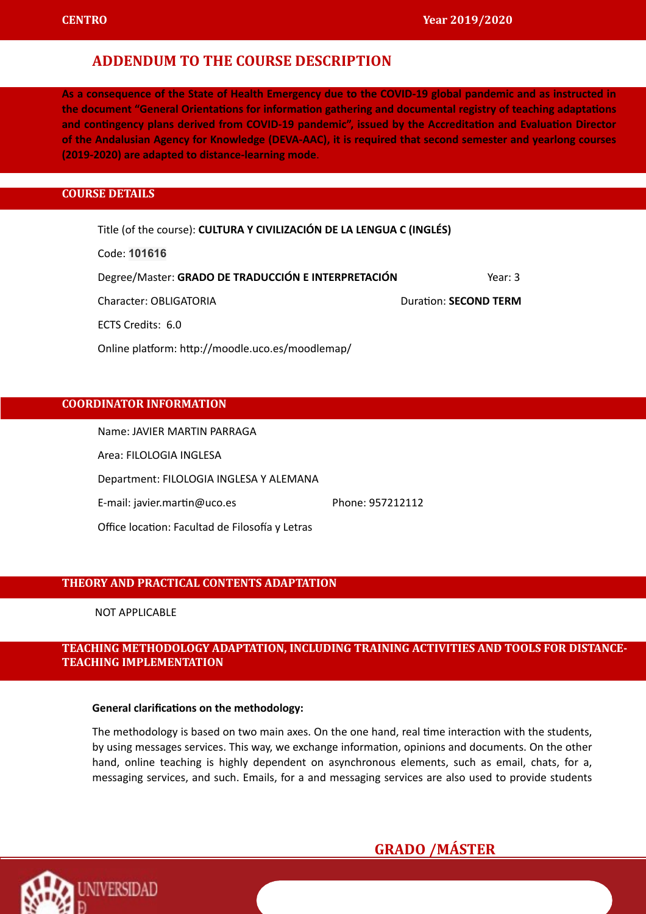As a consequence of the State of Health Emergency due to the COVID-19 global pandemic and as instructed in the document "General Orientations for information gathering and documental registry of teaching adaptations and contingency plans derived from COVID-19 pandemic", issued by the Accreditation and Evaluation Director of the Andalusian Agency for Knowledge (DEVA-AAC), it is required that second semester and yearlong courses **(2019-2020)** are adapted to distance-learning mode.

### **COURSE DETAILS**

| Title (of the course): CULTURA Y CIVILIZACIÓN DE LA LENGUA C (INGLÉS) |                              |  |  |
|-----------------------------------------------------------------------|------------------------------|--|--|
| Code: 101616                                                          |                              |  |  |
| Degree/Master: GRADO DE TRADUCCIÓN E INTERPRETACIÓN                   |                              |  |  |
| Character: OBLIGATORIA                                                | <b>Duration: SECOND TERM</b> |  |  |
| ECTS Credits: 6.0                                                     |                              |  |  |
| Online platform: http://moodle.uco.es/moodlemap/                      |                              |  |  |

### **COORDINATOR INFORMATION**

Name: JAVIER MARTIN PARRAGA Area: FILOLOGIA INGLESA Department: FILOLOGIA INGLESA Y ALEMANA E-mail: javier.martin@uco.es Phone: 957212112 Office location: Facultad de Filosofía y Letras

## **THEORY AND PRACTICAL CONTENTS ADAPTATION**

NOT APPLICABLE

### **TEACHING METHODOLOGY ADAPTATION, INCLUDING TRAINING ACTIVITIES AND TOOLS FOR DISTANCE-TEACHING IMPLEMENTATION**

#### **General clarifications on the methodology:**

The methodology is based on two main axes. On the one hand, real time interaction with the students, by using messages services. This way, we exchange information, opinions and documents. On the other hand, online teaching is highly dependent on asynchronous elements, such as email, chats, for a, messaging services, and such. Emails, for a and messaging services are also used to provide students

# **GRADO /MÁSTER**

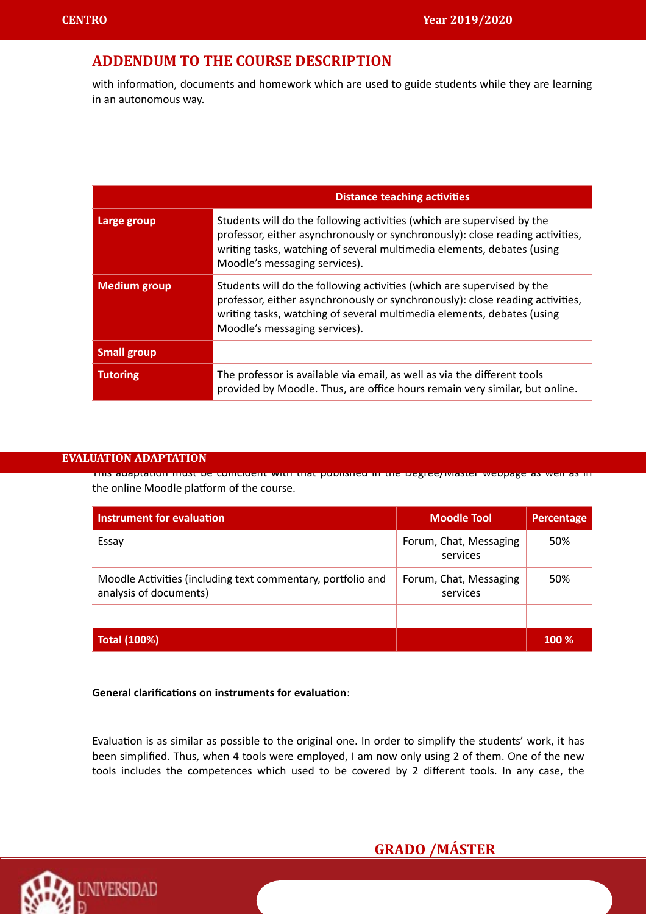with information, documents and homework which are used to guide students while they are learning in an autonomous way.

|                     | <b>Distance teaching activities</b>                                                                                                                                                                                                                                |
|---------------------|--------------------------------------------------------------------------------------------------------------------------------------------------------------------------------------------------------------------------------------------------------------------|
| Large group         | Students will do the following activities (which are supervised by the<br>professor, either asynchronously or synchronously): close reading activities,<br>writing tasks, watching of several multimedia elements, debates (using<br>Moodle's messaging services). |
| <b>Medium group</b> | Students will do the following activities (which are supervised by the<br>professor, either asynchronously or synchronously): close reading activities,<br>writing tasks, watching of several multimedia elements, debates (using<br>Moodle's messaging services). |
| <b>Small group</b>  |                                                                                                                                                                                                                                                                    |
| <b>Tutoring</b>     | The professor is available via email, as well as via the different tools<br>provided by Moodle. Thus, are office hours remain very similar, but online.                                                                                                            |

### **EVALUATION ADAPTATION**

 $\overline{\text{max}}$  adaptation must be comeident with that published in the Degree/Master webpage as well as in the online Moodle platform of the course.

| Instrument for evaluation                                                             | <b>Moodle Tool</b>                 | Percentage   |
|---------------------------------------------------------------------------------------|------------------------------------|--------------|
| Essay                                                                                 | Forum, Chat, Messaging<br>services | 50%          |
| Moodle Activities (including text commentary, portfolio and<br>analysis of documents) | Forum, Chat, Messaging<br>services | 50%          |
|                                                                                       |                                    |              |
| <b>Total (100%)</b>                                                                   |                                    | <b>100 %</b> |

#### **General clarifications on instruments for evaluation:**

Evaluation is as similar as possible to the original one. In order to simplify the students' work, it has been simplified. Thus, when 4 tools were employed, I am now only using 2 of them. One of the new tools includes the competences which used to be covered by 2 different tools. In any case, the



**GRADO /MÁSTER**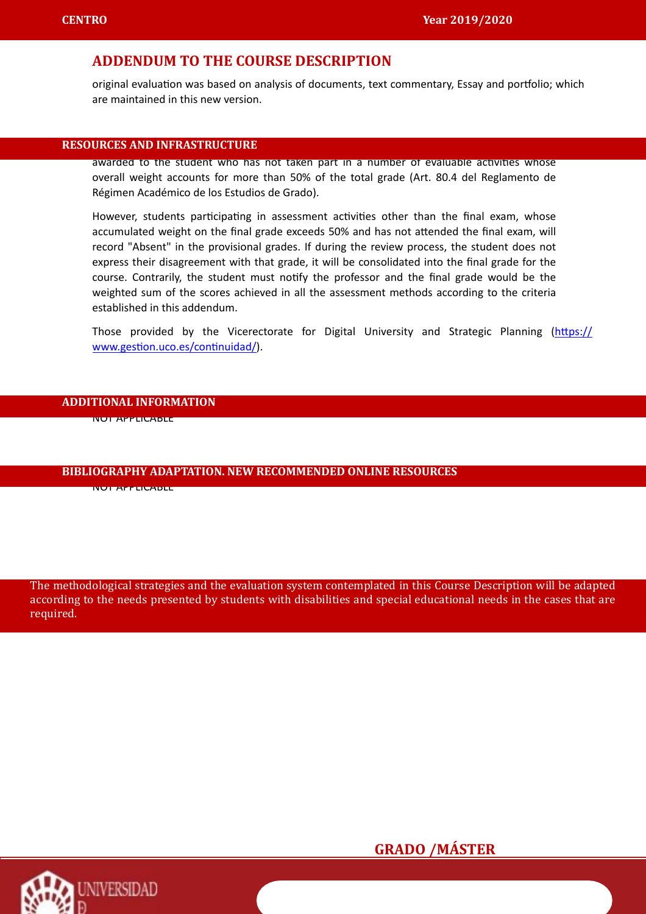original evaluation was based on analysis of documents, text commentary, Essay and portfolio; which are maintained in this new version.

### **ACCORDING TO THE UNIVERSITY OF THE GRADEMIC REGULAR CONDUCT OF THE GRADE CONDUCT OF THE CONDUCT OF THE GRADE O**

awarded to the student who has not taken part in a number of evaluable activities whose overall weight accounts for more than 50% of the total grade (Art. 80.4 del Reglamento de Régimen Académico de los Estudios de Grado).

However, students participating in assessment activities other than the final exam, whose accumulated weight on the final grade exceeds 50% and has not attended the final exam, will record "Absent" in the provisional grades. If during the review process, the student does not express their disagreement with that grade, it will be consolidated into the final grade for the course. Contrarily, the student must notify the professor and the final grade would be the weighted sum of the scores achieved in all the assessment methods according to the criteria established in this addendum.

Those provided by the Vicerectorate for Digital University and Strategic Planning (https:// www.gestion.uco.es/continuidad/).

#### **ADDITIONAL INFORMATION**

**NOT APPLICABLE** 

#### **BIBLIOGRAPHY ADAPTATION. NEW RECOMMENDED ONLINE RESOURCES**

NOT AMPLITED TO A

The methodological strategies and the evaluation system contemplated in this Course Description will be adapted according to the needs presented by students with disabilities and special educational needs in the cases that are required.